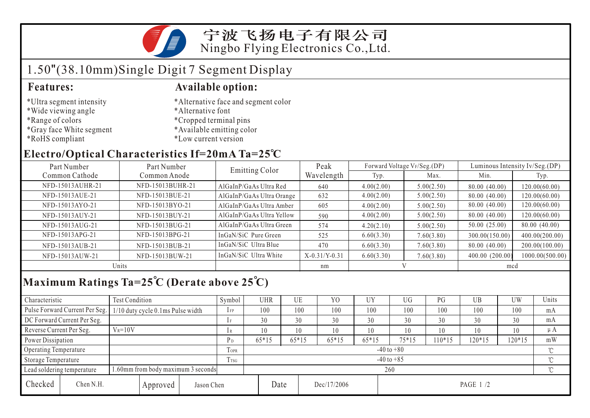宁波飞扬电子有限公司 Ningbo Flying Electronics Co.,Ltd.

## 1.50"(38.10mm)Single Digit 7 Segment Display

- \*Ultra segment intensity
- \*Wide viewing angle
- \*Range of colors
- \*Gray face White segment
- \*RoHS compliant

#### **Features: Available option:**

- \*Alternative face and segment color
- \*Alternative font
- \*Cropped terminal pins
- \*Available emitting color
- \*Low current version

#### **Electro/Optical Characteristics If=20mA Ta=25 C**

| Part Number      | Part Number      | <b>Emitting Color</b>     | Peak            |            | Forward Voltage VF/Seg.(DP) | Luminous Intensity Iv/Seg.(DP) |                 |  |
|------------------|------------------|---------------------------|-----------------|------------|-----------------------------|--------------------------------|-----------------|--|
| Common Cathode   | Common Anode     |                           | Wavelength      | Typ.       | Max.                        | Min.                           | Typ.            |  |
| NFD-15013AUHR-21 | NFD-15013BUHR-21 | AlGaInP/GaAs Ultra Red    | 640             | 4.00(2.00) | 5.00(2.50)                  | 80.00 (40.00)                  | 120.00(60.00)   |  |
| NFD-15013AUE-21  | NFD-15013BUE-21  | AlGaInP/GaAs Ultra Orange | 632             | 4.00(2.00) | 5.00(2.50)                  | 80.00 (40.00)                  | 120.00(60.00)   |  |
| NFD-15013AYO-21  | NFD-15013BYO-21  | AlGaInP/GaAs Ultra Amber  | 605             | 4.00(2.00) | 5.00(2.50)                  | 80.00 (40.00)                  | 120.00(60.00)   |  |
| NFD-15013AUY-21  | NFD-15013BUY-21  | AlGaInP/GaAs Ultra Yellow | 590             | 4.00(2.00) | 5.00(2.50)                  | 80.00 (40.00)                  | 120.00(60.00)   |  |
| NFD-15013AUG-21  | NFD-15013BUG-21  | AlGaInP/GaAs Ultra Green  | 574             | 4.20(2.10) | 5.00(2.50)                  | 50.00 (25.00)                  | 80.00 (40.00)   |  |
| NFD-15013APG-21  | NFD-15013BPG-21  | InGaN/SiC Pure Green      | 525             | 6.60(3.30) | 7.60(3.80)                  | 300.00(150.00)                 | 400.00(200.00)  |  |
| NFD-15013AUB-21  | NFD-15013BUB-21  | InGaN/SiC Ultra Blue      | 470             | 6.60(3.30) | 7.60(3.80)                  | 80.00 (40.00)                  | 200.00(100.00)  |  |
| NFD-15013AUW-21  | NFD-15013BUW-21  | InGaN/SiC Ultra White     | $X-0.31/Y-0.31$ | 6.60(3.30) | 7.60(3.80)                  | 400.00 (200.00)                | 1000.00(500.00) |  |
| Units            |                  |                           | nm              |            |                             | mcd                            |                 |  |

## **Maximum Ratings Ta=25 C (Derate above 25 C)**

| Characteristic                                                  |                                | Test Condition                    |                |                | Symbol         | <b>UHR</b> |         | UE          | Y <sub>0</sub> | UY      | <b>UG</b> | PG       | UB  | UW  | Units   |
|-----------------------------------------------------------------|--------------------------------|-----------------------------------|----------------|----------------|----------------|------------|---------|-------------|----------------|---------|-----------|----------|-----|-----|---------|
|                                                                 | Pulse Forward Current Per Seg. | 1/10 duty cycle 0.1ms Pulse width |                |                | $1$ FP         | 100        |         | 100         | 100            | 100     | 100       | 100      | 100 | 100 | mA      |
| DC Forward Current Per Seg.                                     |                                |                                   |                | 1 F            | 30             |            | 30      | 30          | 30             | 30      | 30        | 30       | 30  | mA  |         |
| Reverse Current Per Seg.                                        |                                | $V_R = 10V$                       |                |                | 1 R            | 10         |         | 10          | 10             | 10      | 10        | 10       | 10  | 10  | $\mu A$ |
| Power Dissipation                                               |                                |                                   | P <sub>D</sub> | $65*15$        |                | $65*15$    | $65*15$ | $65*15$     | $75*15$        | $10*15$ | 120*15    | $120*15$ | mW  |     |         |
| Operating Temperature                                           |                                |                                   |                | <b>TOPR</b>    | $-40$ to $+80$ |            |         |             |                |         |           |          |     |     |         |
| Storage Temperature                                             |                                |                                   | Trsg           | $-40$ to $+85$ |                |            |         |             |                |         |           |          |     |     |         |
| .60mm from body maximum 3 seconds<br>Lead soldering temperature |                                |                                   |                |                | 260            |            |         |             |                |         |           |          |     |     |         |
| Checked                                                         | Chen N.H.                      |                                   | Approved       | Jason Chen     |                |            | Date    | Dec/17/2006 |                |         | PAGE 1 /2 |          |     |     |         |